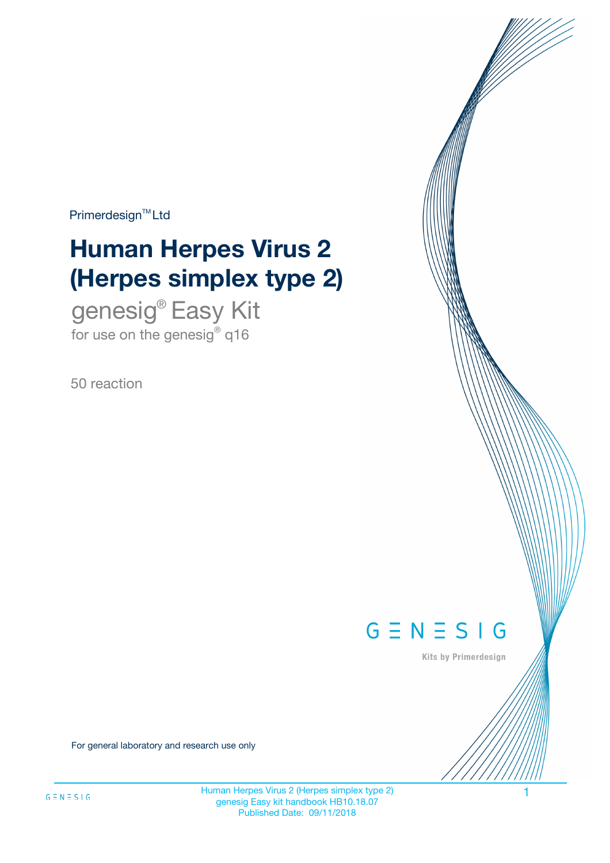$Primerdesign^{\text{TM}}Ltd$ 

# **Human Herpes Virus 2 (Herpes simplex type 2)**

genesig® Easy Kit for use on the genesig® q16

50 reaction



Kits by Primerdesign

For general laboratory and research use only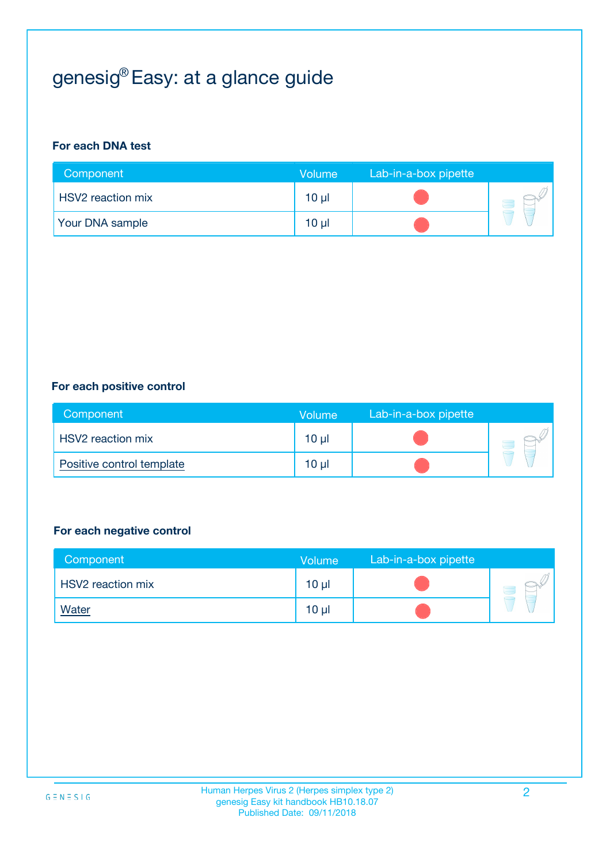# genesig® Easy: at a glance guide

#### **For each DNA test**

| Component                | <b>Volume</b>   | Lab-in-a-box pipette |  |
|--------------------------|-----------------|----------------------|--|
| <b>HSV2</b> reaction mix | 10 µl           |                      |  |
| <b>Your DNA sample</b>   | 10 <sub>µ</sub> |                      |  |

#### **For each positive control**

| Component                 | Volume          | Lab-in-a-box pipette |  |
|---------------------------|-----------------|----------------------|--|
| <b>HSV2</b> reaction mix  | 10 <sub>µ</sub> |                      |  |
| Positive control template | $10 \mu$        |                      |  |

#### **For each negative control**

| Component         | Volume          | Lab-in-a-box pipette |  |
|-------------------|-----------------|----------------------|--|
| HSV2 reaction mix | 10 <sub>µ</sub> |                      |  |
| <b>Water</b>      | 10 <sub>µ</sub> |                      |  |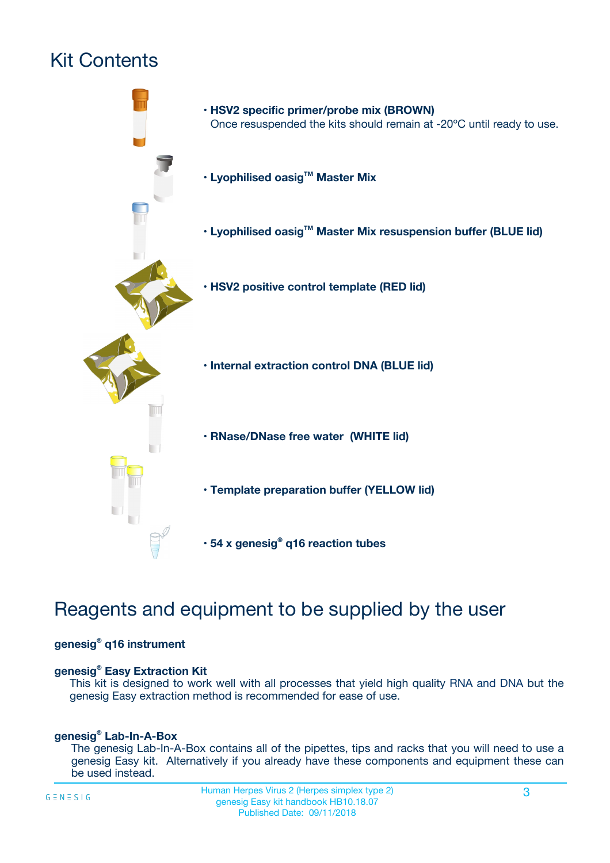# Kit Contents



## Reagents and equipment to be supplied by the user

#### **genesig® q16 instrument**

#### **genesig® Easy Extraction Kit**

This kit is designed to work well with all processes that yield high quality RNA and DNA but the genesig Easy extraction method is recommended for ease of use.

#### **genesig® Lab-In-A-Box**

The genesig Lab-In-A-Box contains all of the pipettes, tips and racks that you will need to use a genesig Easy kit. Alternatively if you already have these components and equipment these can be used instead.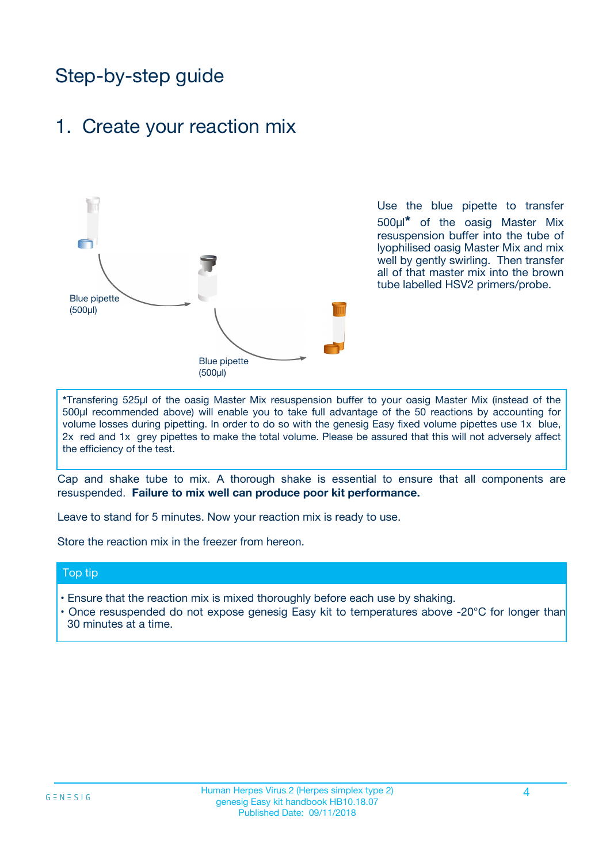## Step-by-step guide

## 1. Create your reaction mix



Use the blue pipette to transfer 500µl**\*** of the oasig Master Mix resuspension buffer into the tube of lyophilised oasig Master Mix and mix well by gently swirling. Then transfer all of that master mix into the brown tube labelled HSV2 primers/probe.

**\***Transfering 525µl of the oasig Master Mix resuspension buffer to your oasig Master Mix (instead of the 500µl recommended above) will enable you to take full advantage of the 50 reactions by accounting for volume losses during pipetting. In order to do so with the genesig Easy fixed volume pipettes use 1x blue, 2x red and 1x grey pipettes to make the total volume. Please be assured that this will not adversely affect the efficiency of the test.

Cap and shake tube to mix. A thorough shake is essential to ensure that all components are resuspended. **Failure to mix well can produce poor kit performance.**

Leave to stand for 5 minutes. Now your reaction mix is ready to use.

Store the reaction mix in the freezer from hereon.

#### Top tip

- Ensure that the reaction mix is mixed thoroughly before each use by shaking.
- **•** Once resuspended do not expose genesig Easy kit to temperatures above -20°C for longer than 30 minutes at a time.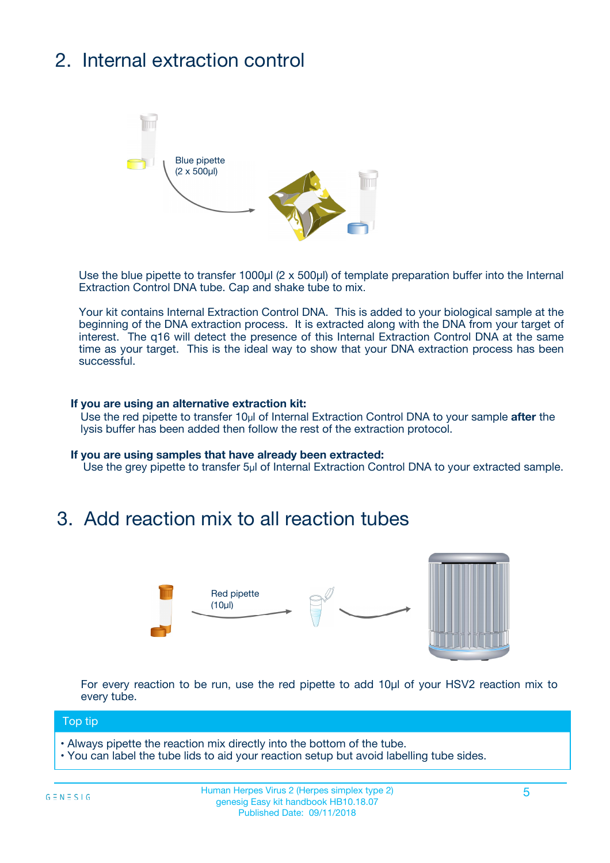# 2. Internal extraction control



Use the blue pipette to transfer 1000µl (2 x 500µl) of template preparation buffer into the Internal Extraction Control DNA tube. Cap and shake tube to mix.

Your kit contains Internal Extraction Control DNA. This is added to your biological sample at the beginning of the DNA extraction process. It is extracted along with the DNA from your target of interest. The q16 will detect the presence of this Internal Extraction Control DNA at the same time as your target. This is the ideal way to show that your DNA extraction process has been successful.

#### **If you are using an alternative extraction kit:**

Use the red pipette to transfer 10µl of Internal Extraction Control DNA to your sample **after** the lysis buffer has been added then follow the rest of the extraction protocol.

#### **If you are using samples that have already been extracted:**

Use the grey pipette to transfer 5µl of Internal Extraction Control DNA to your extracted sample.

## 3. Add reaction mix to all reaction tubes



For every reaction to be run, use the red pipette to add 10µl of your HSV2 reaction mix to every tube.

#### Top tip

**•** Always pipette the reaction mix directly into the bottom of the tube.

• You can label the tube lids to aid your reaction setup but avoid labelling tube sides.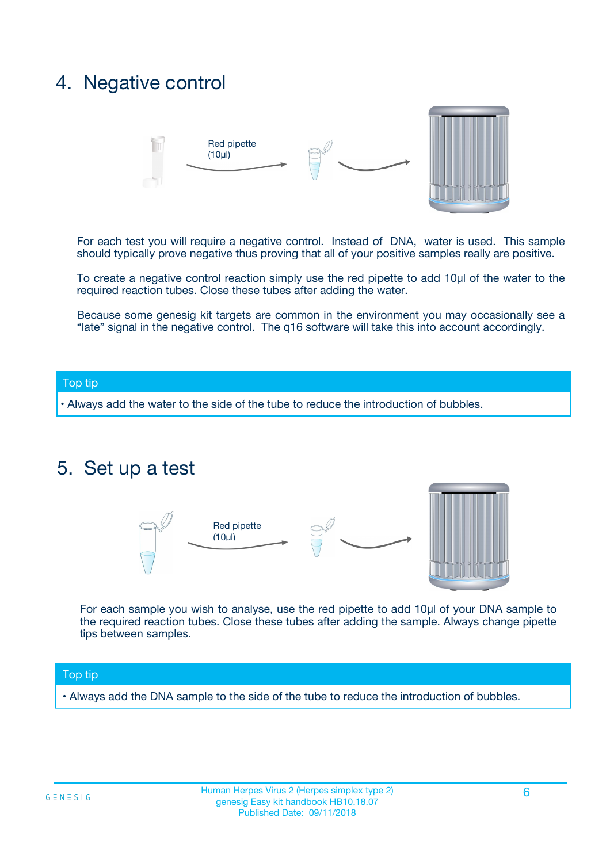## 4. Negative control



For each test you will require a negative control. Instead of DNA, water is used. This sample should typically prove negative thus proving that all of your positive samples really are positive.

To create a negative control reaction simply use the red pipette to add 10µl of the water to the required reaction tubes. Close these tubes after adding the water.

Because some genesig kit targets are common in the environment you may occasionally see a "late" signal in the negative control. The q16 software will take this into account accordingly.

#### Top tip

**•** Always add the water to the side of the tube to reduce the introduction of bubbles.

### 5. Set up a test



For each sample you wish to analyse, use the red pipette to add 10µl of your DNA sample to the required reaction tubes. Close these tubes after adding the sample. Always change pipette tips between samples.

#### Top tip

**•** Always add the DNA sample to the side of the tube to reduce the introduction of bubbles.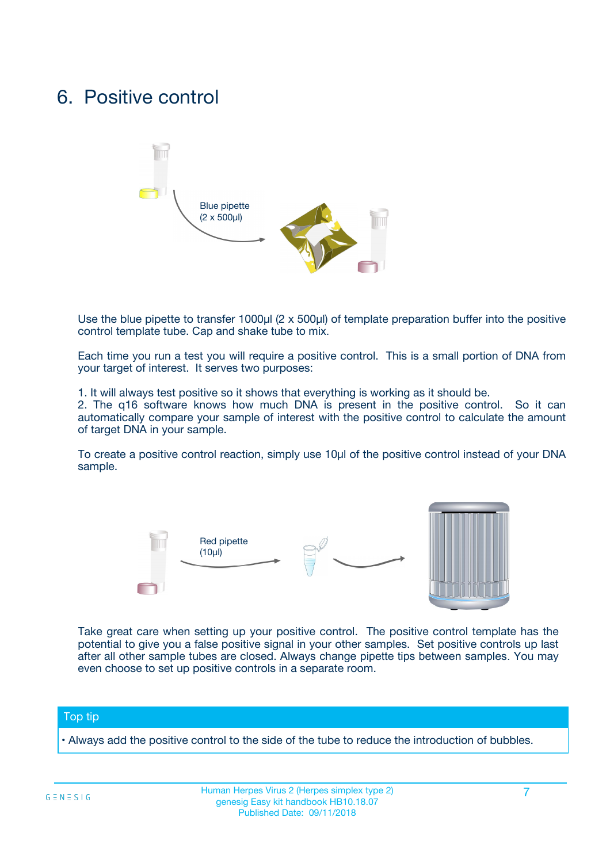## 6. Positive control



Use the blue pipette to transfer 1000µl (2 x 500µl) of template preparation buffer into the positive control template tube. Cap and shake tube to mix.

Each time you run a test you will require a positive control. This is a small portion of DNA from your target of interest. It serves two purposes:

1. It will always test positive so it shows that everything is working as it should be.

2. The q16 software knows how much DNA is present in the positive control. So it can automatically compare your sample of interest with the positive control to calculate the amount of target DNA in your sample.

To create a positive control reaction, simply use 10µl of the positive control instead of your DNA sample.



Take great care when setting up your positive control. The positive control template has the potential to give you a false positive signal in your other samples. Set positive controls up last after all other sample tubes are closed. Always change pipette tips between samples. You may even choose to set up positive controls in a separate room.

#### Top tip

**•** Always add the positive control to the side of the tube to reduce the introduction of bubbles.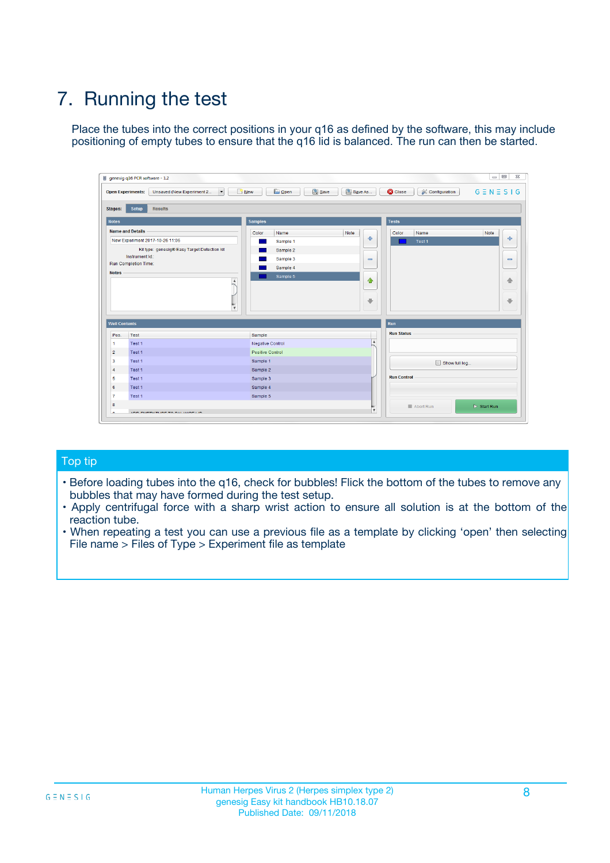# 7. Running the test

Place the tubes into the correct positions in your q16 as defined by the software, this may include positioning of empty tubes to ensure that the q16 lid is balanced. The run can then be started.

|                      | genesig q16 PCR software - 1.2                                               |                                    |                              |                                          | $\begin{array}{c c c c} \hline \multicolumn{3}{c }{\textbf{0}} & \multicolumn{3}{c }{\textbf{0}} \end{array}$ |
|----------------------|------------------------------------------------------------------------------|------------------------------------|------------------------------|------------------------------------------|---------------------------------------------------------------------------------------------------------------|
|                      | $\vert \cdot \vert$<br><b>Open Experiments:</b><br>Unsaved (New Experiment 2 | Open<br>Save<br>$\blacksquare$ New | Save As                      | <b>B</b> Close<br><b>X</b> Configuration | $G \equiv N \equiv S \mid G$                                                                                  |
| <b>Stages:</b>       | <b>Setup</b><br><b>Results</b>                                               |                                    |                              |                                          |                                                                                                               |
| <b>Notes</b>         |                                                                              | <b>Samples</b>                     |                              | <b>Tests</b>                             |                                                                                                               |
|                      | <b>Name and Details</b>                                                      | Color<br>Name                      | Note                         | Color<br>Name                            | Note                                                                                                          |
|                      | New Experiment 2017-10-26 11:06                                              | Sample 1                           | ÷                            | Test 1                                   | ÷                                                                                                             |
|                      | Kit type: genesig® Easy Target Detection kit                                 | Sample 2                           |                              |                                          |                                                                                                               |
|                      | Instrument Id.:                                                              | Sample 3                           | $\qquad \qquad \blacksquare$ |                                          | $\qquad \qquad \blacksquare$                                                                                  |
|                      | <b>Run Completion Time:</b>                                                  | Sample 4                           |                              |                                          |                                                                                                               |
| <b>Notes</b>         |                                                                              | Sample 5                           |                              |                                          |                                                                                                               |
|                      | <b>A</b>                                                                     |                                    | ♦                            |                                          | 借                                                                                                             |
|                      |                                                                              |                                    |                              |                                          |                                                                                                               |
|                      |                                                                              |                                    | $\oplus$                     |                                          | ₩                                                                                                             |
|                      | $\overline{\mathbf{v}}$                                                      |                                    |                              |                                          |                                                                                                               |
| <b>Well Contents</b> |                                                                              |                                    | Run                          |                                          |                                                                                                               |
| Pos.                 | <b>Test</b>                                                                  | Sample                             |                              | <b>Run Status</b>                        |                                                                                                               |
| $\mathbf{1}$         | Test 1                                                                       | Negative Control                   | $\blacktriangle$             |                                          |                                                                                                               |
| $\overline{2}$       | Test 1                                                                       | <b>Positive Control</b>            |                              |                                          |                                                                                                               |
| 3                    | Test 1                                                                       | Sample 1                           |                              | Show full log                            |                                                                                                               |
| $\overline{4}$       | Test 1                                                                       | Sample 2                           |                              |                                          |                                                                                                               |
| 5                    | Test 1                                                                       | Sample 3                           |                              | <b>Run Control</b>                       |                                                                                                               |
| 6                    | Test 1                                                                       | Sample 4                           |                              |                                          |                                                                                                               |
| $\overline{7}$       | Test 1                                                                       | Sample 5                           |                              |                                          |                                                                                                               |
| 8                    |                                                                              |                                    |                              | Abort Run                                | $\triangleright$ Start Run                                                                                    |
|                      |                                                                              |                                    | $\overline{\mathbf{v}}$      |                                          |                                                                                                               |

#### Top tip

- Before loading tubes into the q16, check for bubbles! Flick the bottom of the tubes to remove any bubbles that may have formed during the test setup.
- Apply centrifugal force with a sharp wrist action to ensure all solution is at the bottom of the reaction tube.
- When repeating a test you can use a previous file as a template by clicking 'open' then selecting File name > Files of Type > Experiment file as template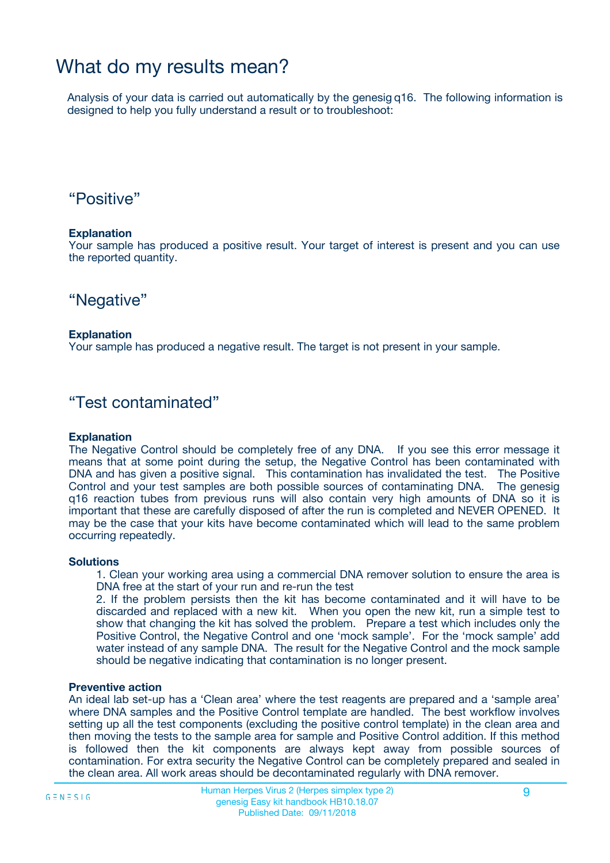## What do my results mean?

Analysis of your data is carried out automatically by the genesig q16. The following information is designed to help you fully understand a result or to troubleshoot:

### "Positive"

#### **Explanation**

Your sample has produced a positive result. Your target of interest is present and you can use the reported quantity.

"Negative"

#### **Explanation**

Your sample has produced a negative result. The target is not present in your sample.

### "Test contaminated"

#### **Explanation**

The Negative Control should be completely free of any DNA. If you see this error message it means that at some point during the setup, the Negative Control has been contaminated with DNA and has given a positive signal. This contamination has invalidated the test. The Positive Control and your test samples are both possible sources of contaminating DNA. The genesig q16 reaction tubes from previous runs will also contain very high amounts of DNA so it is important that these are carefully disposed of after the run is completed and NEVER OPENED. It may be the case that your kits have become contaminated which will lead to the same problem occurring repeatedly.

#### **Solutions**

1. Clean your working area using a commercial DNA remover solution to ensure the area is DNA free at the start of your run and re-run the test

2. If the problem persists then the kit has become contaminated and it will have to be discarded and replaced with a new kit. When you open the new kit, run a simple test to show that changing the kit has solved the problem. Prepare a test which includes only the Positive Control, the Negative Control and one 'mock sample'. For the 'mock sample' add water instead of any sample DNA. The result for the Negative Control and the mock sample should be negative indicating that contamination is no longer present.

#### **Preventive action**

An ideal lab set-up has a 'Clean area' where the test reagents are prepared and a 'sample area' where DNA samples and the Positive Control template are handled. The best workflow involves setting up all the test components (excluding the positive control template) in the clean area and then moving the tests to the sample area for sample and Positive Control addition. If this method is followed then the kit components are always kept away from possible sources of contamination. For extra security the Negative Control can be completely prepared and sealed in the clean area. All work areas should be decontaminated regularly with DNA remover.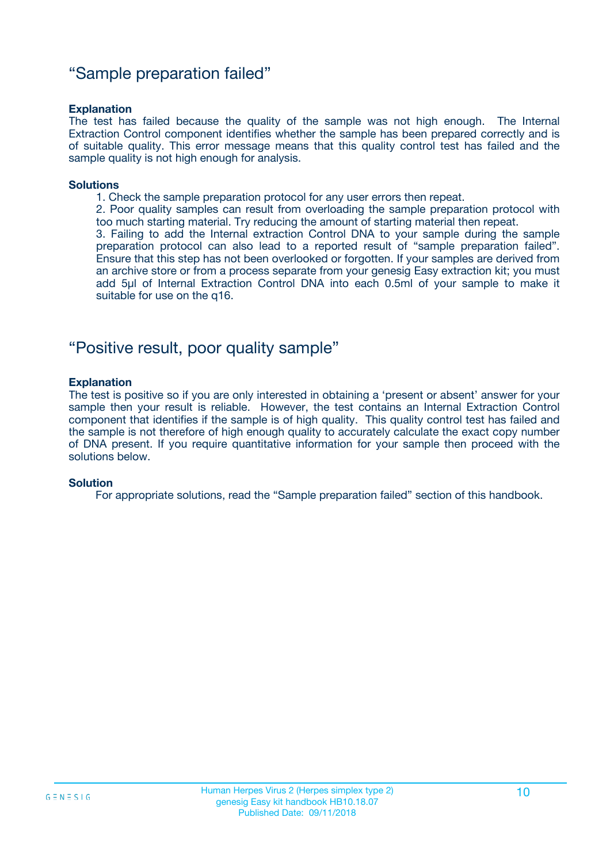### "Sample preparation failed"

#### **Explanation**

The test has failed because the quality of the sample was not high enough. The Internal Extraction Control component identifies whether the sample has been prepared correctly and is of suitable quality. This error message means that this quality control test has failed and the sample quality is not high enough for analysis.

#### **Solutions**

1. Check the sample preparation protocol for any user errors then repeat.

2. Poor quality samples can result from overloading the sample preparation protocol with too much starting material. Try reducing the amount of starting material then repeat.

3. Failing to add the Internal extraction Control DNA to your sample during the sample preparation protocol can also lead to a reported result of "sample preparation failed". Ensure that this step has not been overlooked or forgotten. If your samples are derived from an archive store or from a process separate from your genesig Easy extraction kit; you must add 5µl of Internal Extraction Control DNA into each 0.5ml of your sample to make it suitable for use on the q16.

### "Positive result, poor quality sample"

#### **Explanation**

The test is positive so if you are only interested in obtaining a 'present or absent' answer for your sample then your result is reliable. However, the test contains an Internal Extraction Control component that identifies if the sample is of high quality. This quality control test has failed and the sample is not therefore of high enough quality to accurately calculate the exact copy number of DNA present. If you require quantitative information for your sample then proceed with the solutions below.

#### **Solution**

For appropriate solutions, read the "Sample preparation failed" section of this handbook.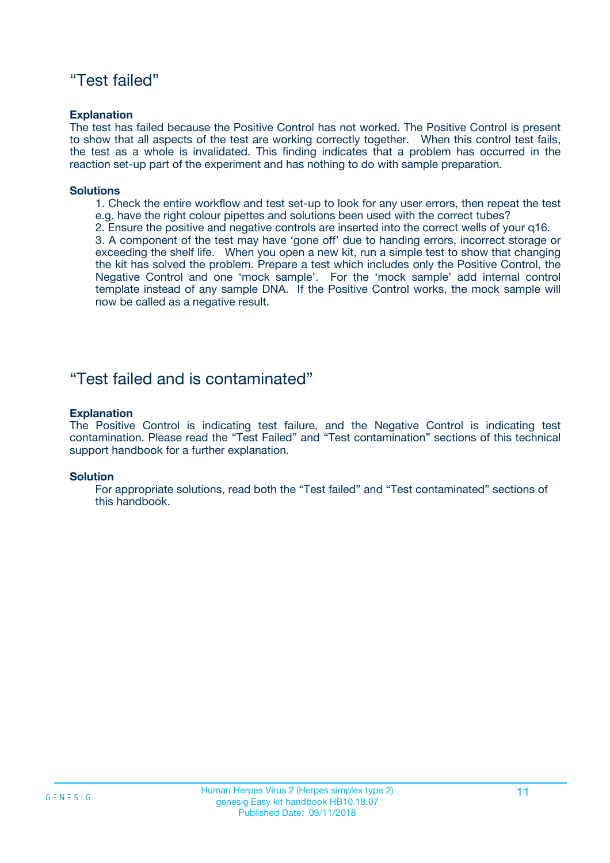### "Test failed"

#### **Explanation**

The test has failed because the Positive Control has not worked. The Positive Control is present to show that all aspects of the test are working correctly together. When this control test fails, the test as a whole is invalidated. This finding indicates that a problem has occurred in the reaction set-up part of the experiment and has nothing to do with sample preparation.

#### **Solutions**

- 1. Check the entire workflow and test set-up to look for any user errors, then repeat the test e.g. have the right colour pipettes and solutions been used with the correct tubes?
- 2. Ensure the positive and negative controls are inserted into the correct wells of your q16.

3. A component of the test may have 'gone off' due to handing errors, incorrect storage or exceeding the shelf life. When you open a new kit, run a simple test to show that changing the kit has solved the problem. Prepare a test which includes only the Positive Control, the Negative Control and one 'mock sample'. For the 'mock sample' add internal control template instead of any sample DNA. If the Positive Control works, the mock sample will now be called as a negative result.

### "Test failed and is contaminated"

#### **Explanation**

The Positive Control is indicating test failure, and the Negative Control is indicating test contamination. Please read the "Test Failed" and "Test contamination" sections of this technical support handbook for a further explanation.

#### **Solution**

For appropriate solutions, read both the "Test failed" and "Test contaminated" sections of this handbook.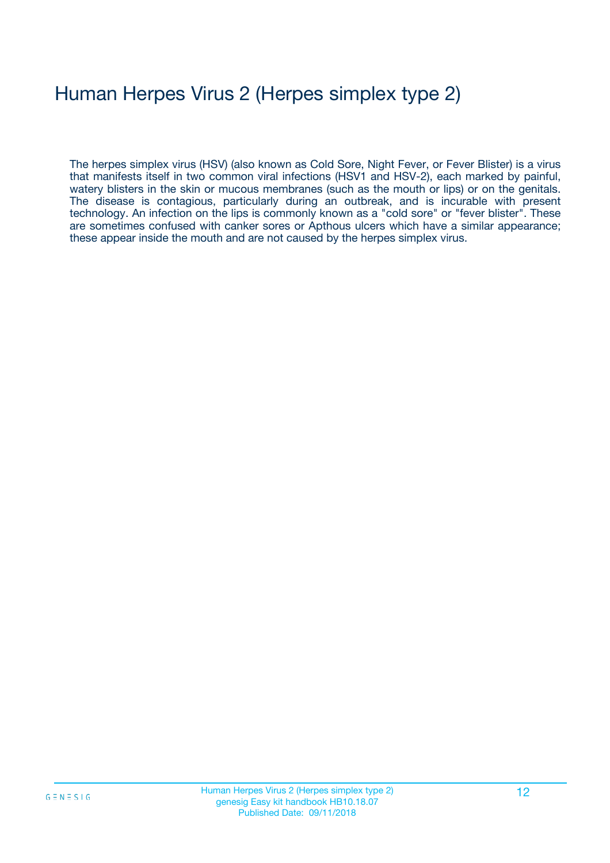# Human Herpes Virus 2 (Herpes simplex type 2)

The herpes simplex virus (HSV) (also known as Cold Sore, Night Fever, or Fever Blister) is a virus that manifests itself in two common viral infections (HSV1 and HSV-2), each marked by painful, watery blisters in the skin or mucous membranes (such as the mouth or lips) or on the genitals. The disease is contagious, particularly during an outbreak, and is incurable with present technology. An infection on the lips is commonly known as a "cold sore" or "fever blister". These are sometimes confused with canker sores or Apthous ulcers which have a similar appearance; these appear inside the mouth and are not caused by the herpes simplex virus.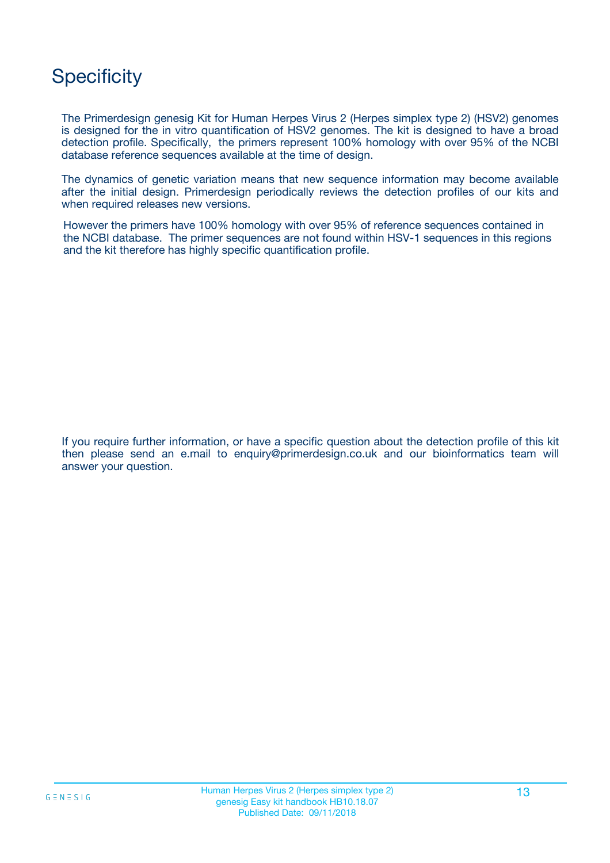## **Specificity**

The Primerdesign genesig Kit for Human Herpes Virus 2 (Herpes simplex type 2) (HSV2) genomes is designed for the in vitro quantification of HSV2 genomes. The kit is designed to have a broad detection profile. Specifically, the primers represent 100% homology with over 95% of the NCBI database reference sequences available at the time of design.

The dynamics of genetic variation means that new sequence information may become available after the initial design. Primerdesign periodically reviews the detection profiles of our kits and when required releases new versions.

However the primers have 100% homology with over 95% of reference sequences contained in the NCBI database. The primer sequences are not found within HSV-1 sequences in this regions and the kit therefore has highly specific quantification profile.

If you require further information, or have a specific question about the detection profile of this kit then please send an e.mail to enquiry@primerdesign.co.uk and our bioinformatics team will answer your question.